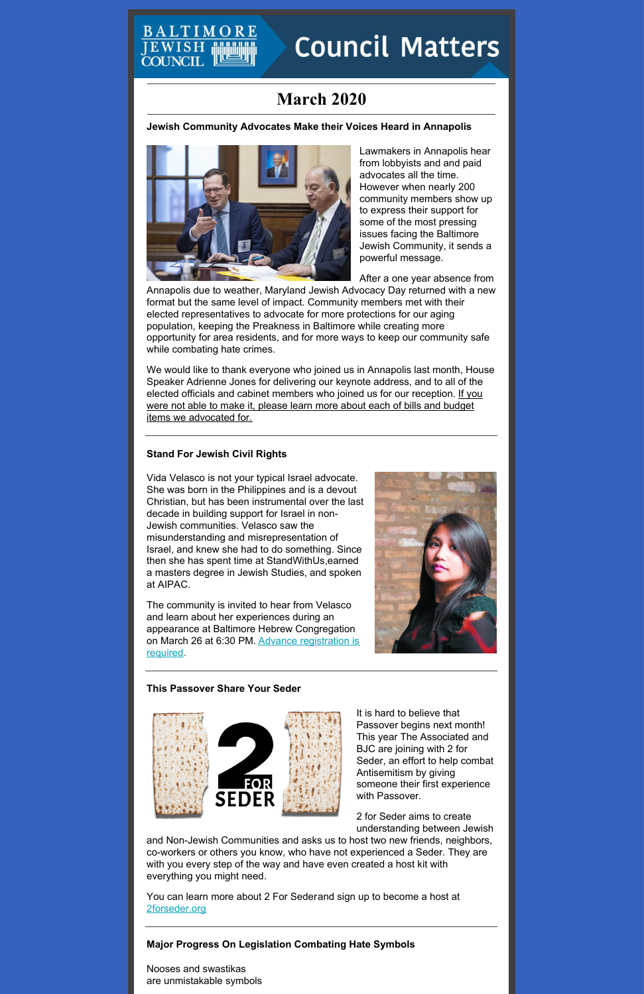# TIMO **Council Matters**

## **March 2020**

**Jewish Community Advocates Make their Voices Heard in Annapolis**



EWISE

Lawmakers in Annapolis hear from lobbyists and and paid advocates all the time. However when nearly 200 community members show up to express their support for some of the most pressing issues facing the Baltimore Jewish Community, it sends a powerful message.

After a one year absence from

Annapolis due to weather, Maryland Jewish Advocacy Day returned with a new format but the same level of impact. Community members met with their elected representatives to advocate for more protections for our aging population, keeping the Preakness in Baltimore while creating more opportunity for area residents, and for more ways to keep our community safe while combating hate crimes.

We would like to thank everyone who joined us in Annapolis last month, House Speaker Adrienne Jones for delivering our keynote address, and to all of the elected officials and cabinet members who joined us for our [reception.](http://baltjc.org/advocacy-day) If you were not able to make it, please learn more about each of bills and budget items we advocated for.

## **Stand For Jewish Civil Rights**

Vida Velasco is not your typical Israel advocate. She was born in the Philippines and is a devout Christian, but has been instrumental over the last decade in building support for Israel in non-Jewish communities. Velasco saw the misunderstanding and misrepresentation of Israel, and knew she had to do something. Since then she has spent time at StandWithUs,earned a masters degree in Jewish Studies, and spoken at AIPAC.

The community is invited to hear from Velasco and learn about her experiences during an appearance at Baltimore Hebrew Congregation on March 26 at 6:30 PM. Advance [registration](https://events.idonate.com/jewishrights) is required.



### **This Passover Share Your Seder**





It is hard to believe that Passover begins next month!



This year The Associated and BJC are joining with 2 for Seder, an effort to help combat Antisemitism by giving someone their first experience with Passover.

2 for Seder aims to create understanding between Jewish

and Non-Jewish Communities and asks us to host two new friends, neighbors, co-workers or others you know, who have not experienced a Seder. They are with you every step of the way and have even created a host kit with everything you might need.

You can learn more about 2 For Sederand sign up to become a host at [2forseder.org](https://2forseder.org/)

**Major Progress On Legislation Combating Hate Symbols**

Nooses and swastikas are unmistakable symbols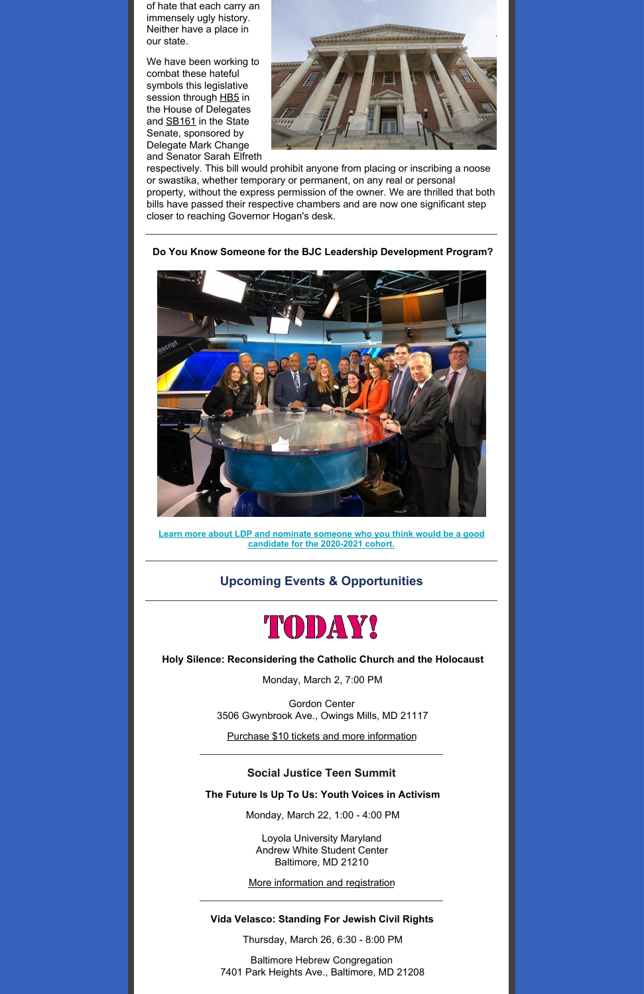of hate that each carry an immensely ugly history. Neither have a place in our state.

We have been working to combat these hateful symbols this legislative session through [HB5](http://mgaleg.maryland.gov/mgawebsite/Legislation/Details/hb0005) in the House of Delegates and [SB161](http://mgaleg.maryland.gov/mgawebsite/Legislation/Details/SB0161?ys=2020RS) in the State Senate, sponsored by Delegate Mark Change and Senator Sarah Elfreth



respectively. This bill would prohibit anyone from placing or inscribing a noose or swastika, whether temporary or permanent, on any real or personal property, without the express permission of the owner. We are thrilled that both bills have passed their respective chambers and are now one significant step closer to reaching Governor Hogan's desk.



**Do You Know Someone for the BJC Leadership Development Program?**

**Learn more about LDP and nominate someone who you think would be a good candidate for the [2020-2021](https://www.baltjc.org/leadership-development) cohort.**

**Upcoming Events & Opportunities**



**Holy Silence: Reconsidering the Catholic Church and the Holocaust**

Monday, March 2, 7:00 PM

Gordon Center 3506 Gwynbrook Ave., Owings Mills, MD 21117

Purchase \$10 tickets and more [information](https://tickets.vendini.com/ticket-software.html?e=52e3a1a676aa215a016def1e4fa48795&t=tix&fbclid=IwAR1pN6gRb0adDvKCSTQHMUgtWn9RLt_QfMeR4nGXd2vIPpGrvhzbc971KBc&vqitq=25156c2f-48f3-4db2-9ddf-399998716c62&vqitp=30f9f439-9996-45ba-89f9-f6916492e3a9&vqitts=1582584892&vqitc=vendini&vqite=itl&vqitrt=Safetynet&vqith=741ea0894648db31e906c4e43a513b2a)

**Social Justice Teen Summit**

**The Future Is Up To Us: Youth Voices in Activism**

Monday, March 22, 1:00 - 4:00 PM

Loyola University Maryland Andrew White Student Center Baltimore, MD 21210

More [information](https://events.idonate.com/summit) and registration

**Vida Velasco: Standing For Jewish Civil Rights**

Thursday, March 26, 6:30 - 8:00 PM

Baltimore Hebrew Congregation 7401 Park Heights Ave., Baltimore, MD 21208